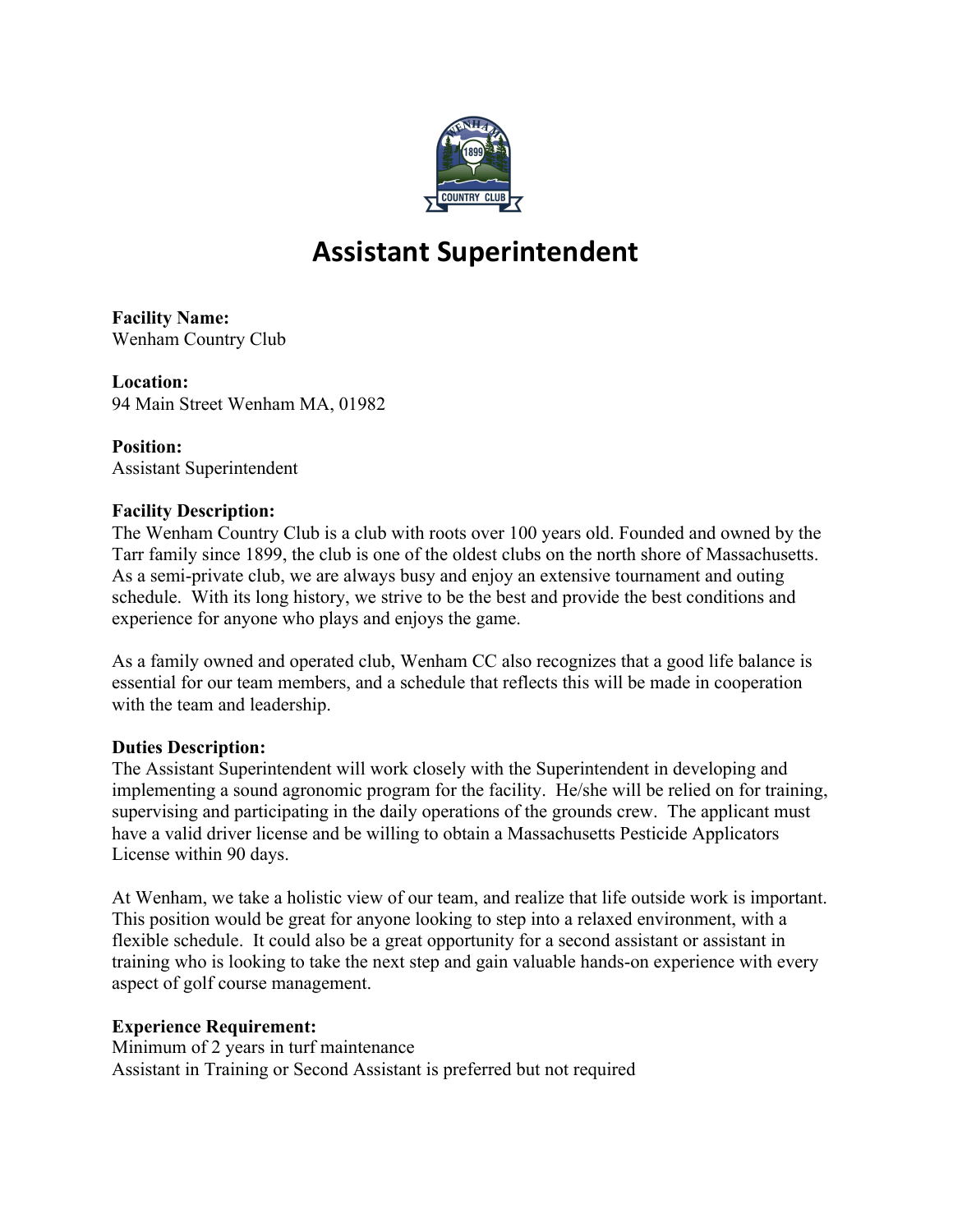

# **Assistant Superintendent**

**Facility Name:**  Wenham Country Club

**Location:**  94 Main Street Wenham MA, 01982

**Position:** Assistant Superintendent

## **Facility Description:**

The Wenham Country Club is a club with roots over 100 years old. Founded and owned by the Tarr family since 1899, the club is one of the oldest clubs on the north shore of Massachusetts. As a semi-private club, we are always busy and enjoy an extensive tournament and outing schedule. With its long history, we strive to be the best and provide the best conditions and experience for anyone who plays and enjoys the game.

As a family owned and operated club, Wenham CC also recognizes that a good life balance is essential for our team members, and a schedule that reflects this will be made in cooperation with the team and leadership.

## **Duties Description:**

The Assistant Superintendent will work closely with the Superintendent in developing and implementing a sound agronomic program for the facility. He/she will be relied on for training, supervising and participating in the daily operations of the grounds crew. The applicant must have a valid driver license and be willing to obtain a Massachusetts Pesticide Applicators License within 90 days.

At Wenham, we take a holistic view of our team, and realize that life outside work is important. This position would be great for anyone looking to step into a relaxed environment, with a flexible schedule. It could also be a great opportunity for a second assistant or assistant in training who is looking to take the next step and gain valuable hands-on experience with every aspect of golf course management.

## **Experience Requirement:**

Minimum of 2 years in turf maintenance Assistant in Training or Second Assistant is preferred but not required